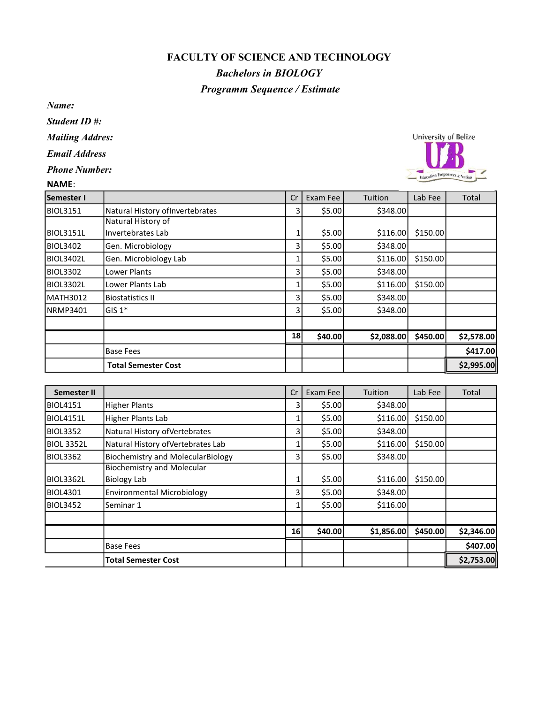## FACULTY OF SCIENCE AND TECHNOLOGY

## Bachelors in BIOLOGY Programm Sequence / Estimate

Name:

Student ID #:

Mailing Addres:

Email Address

Phone Number:

## NAME:

| Semester I       |                                  | Cr | Exam Fee | Tuition    | Lab Fee  | Total      |
|------------------|----------------------------------|----|----------|------------|----------|------------|
| BIOL3151         | Natural History of Invertebrates | 31 | \$5.00   | \$348.00   |          |            |
|                  | Natural History of               |    |          |            |          |            |
| BIOL3151L        | Invertebrates Lab                | 1  | \$5.00   | \$116.00   | \$150.00 |            |
| BIOL3402         | Gen. Microbiology                | 31 | \$5.00   | \$348.00   |          |            |
| <b>BIOL3402L</b> | Gen. Microbiology Lab            |    | \$5.00   | \$116.00   | \$150.00 |            |
| BIOL3302         | Lower Plants                     | 31 | \$5.00   | \$348.00   |          |            |
| BIOL3302L        | Lower Plants Lab                 |    | \$5.00   | \$116.00   | \$150.00 |            |
| <b>MATH3012</b>  | <b>Biostatistics II</b>          | 31 | \$5.00   | \$348.00   |          |            |
| NRMP3401         | GIS 1*                           | 31 | \$5.00   | \$348.00   |          |            |
|                  |                                  |    |          |            |          |            |
|                  |                                  | 18 | \$40.00  | \$2,088.00 | \$450.00 | \$2,578.00 |
|                  | <b>Base Fees</b>                 |    |          |            |          | \$417.00   |
|                  | <b>Total Semester Cost</b>       |    |          |            |          | \$2,995.00 |

| Semester II |                                          | Cr | Exam Fee | Tuition    | Lab Fee  | Total      |
|-------------|------------------------------------------|----|----------|------------|----------|------------|
| BIOL4151    | <b>Higher Plants</b>                     | 3  | \$5.00   | \$348.00   |          |            |
| BIOL4151L   | Higher Plants Lab                        |    | \$5.00   | \$116.00   | \$150.00 |            |
| BIOL3352    | Natural History of Vertebrates           | 3  | \$5.00   | \$348.00   |          |            |
| BIOL 3352L  | Natural History of Vertebrates Lab       |    | \$5.00   | \$116.00   | \$150.00 |            |
| BIOL3362    | <b>Biochemistry and MolecularBiology</b> | 3  | \$5.00   | \$348.00   |          |            |
|             | <b>Biochemistry and Molecular</b>        |    |          |            |          |            |
| BIOL3362L   | Biology Lab                              |    | \$5.00   | \$116.00   | \$150.00 |            |
| BIOL4301    | <b>Environmental Microbiology</b>        | 3  | \$5.00   | \$348.00   |          |            |
| BIOL3452    | Seminar 1                                |    | \$5.00   | \$116.00   |          |            |
|             |                                          |    |          |            |          |            |
|             |                                          | 16 | \$40.00  | \$1,856.00 | \$450.00 | \$2,346.00 |
|             | <b>Base Fees</b>                         |    |          |            |          | \$407.00   |
|             | <b>Total Semester Cost</b>               |    |          |            |          | \$2,753.00 |